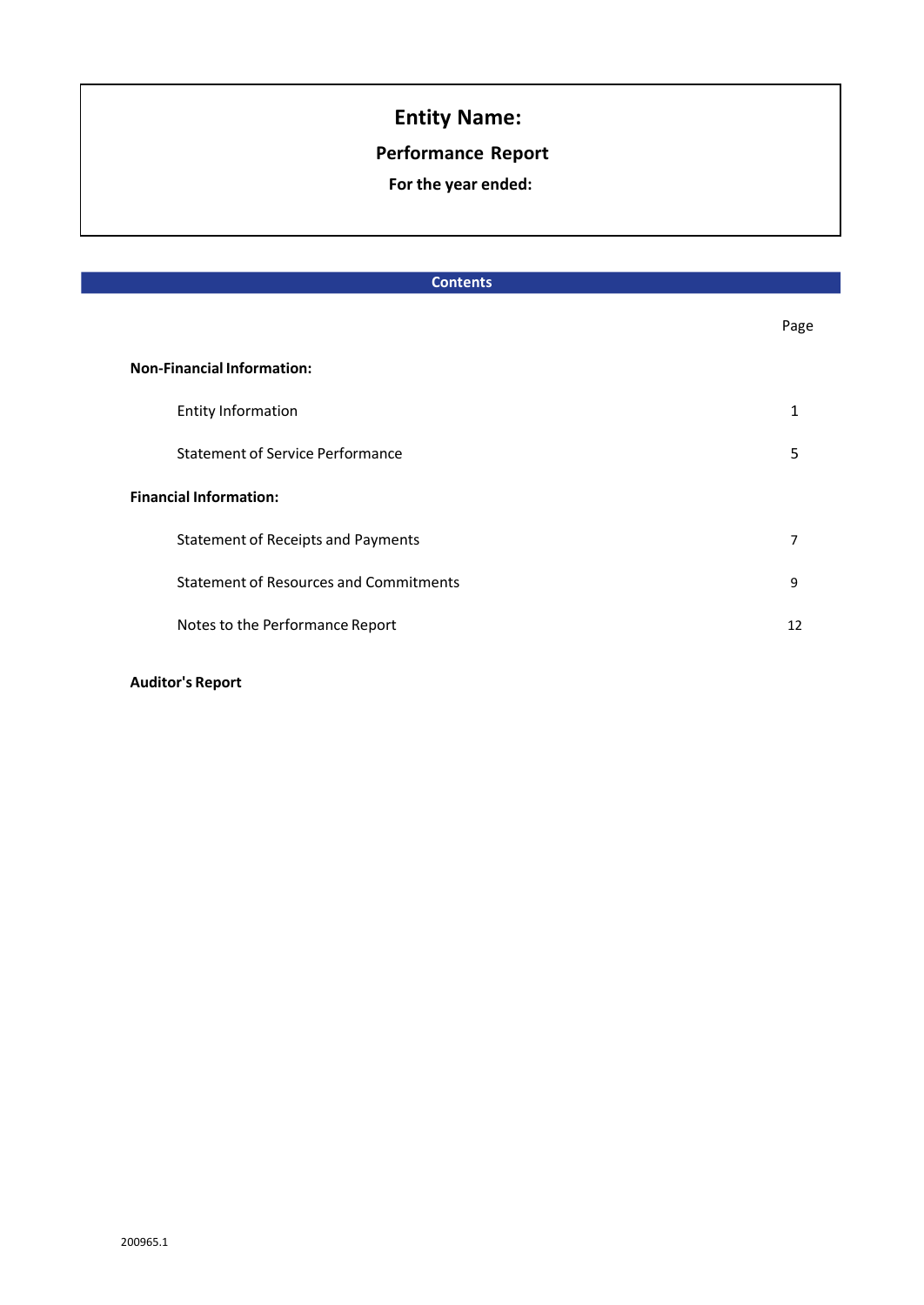## **Performance Report**

**For the year ended:**

| <b>Contents</b>                               |      |  |
|-----------------------------------------------|------|--|
|                                               | Page |  |
| <b>Non-Financial Information:</b>             |      |  |
| <b>Entity Information</b>                     | 1    |  |
| <b>Statement of Service Performance</b>       | 5    |  |
| <b>Financial Information:</b>                 |      |  |
| <b>Statement of Receipts and Payments</b>     | 7    |  |
| <b>Statement of Resources and Commitments</b> | 9    |  |
| Notes to the Performance Report               | 12   |  |
|                                               |      |  |

#### **Auditor's Report**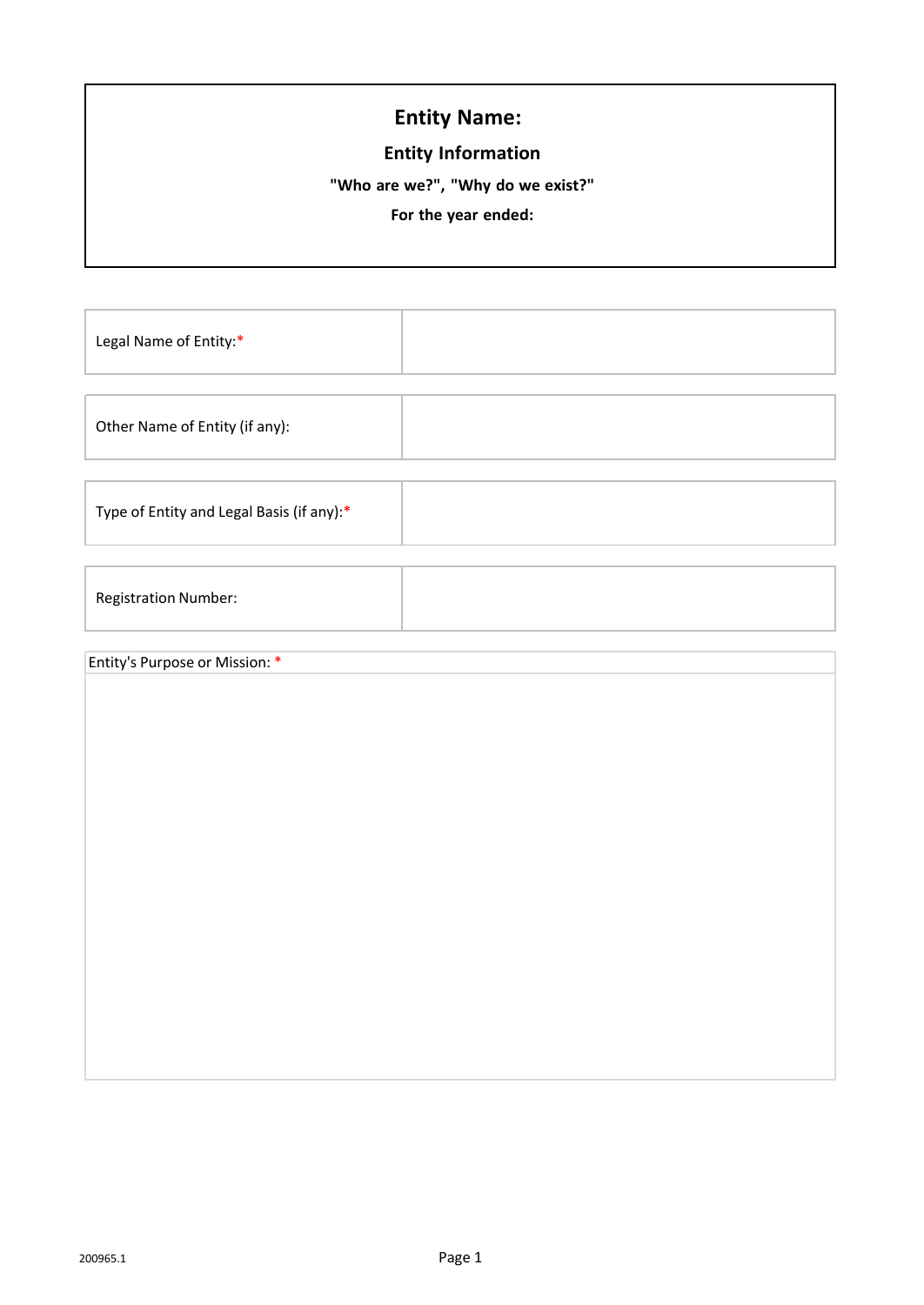## **Entity Information**

**"Who are we?", "Why do we exist?"** 

**For the year ended:**

Legal Name of Entity:\*

Other Name of Entity (if any):

Type of Entity and Legal Basis (if any):\*

Registration Number:

#### Entity's Purpose or Mission: \*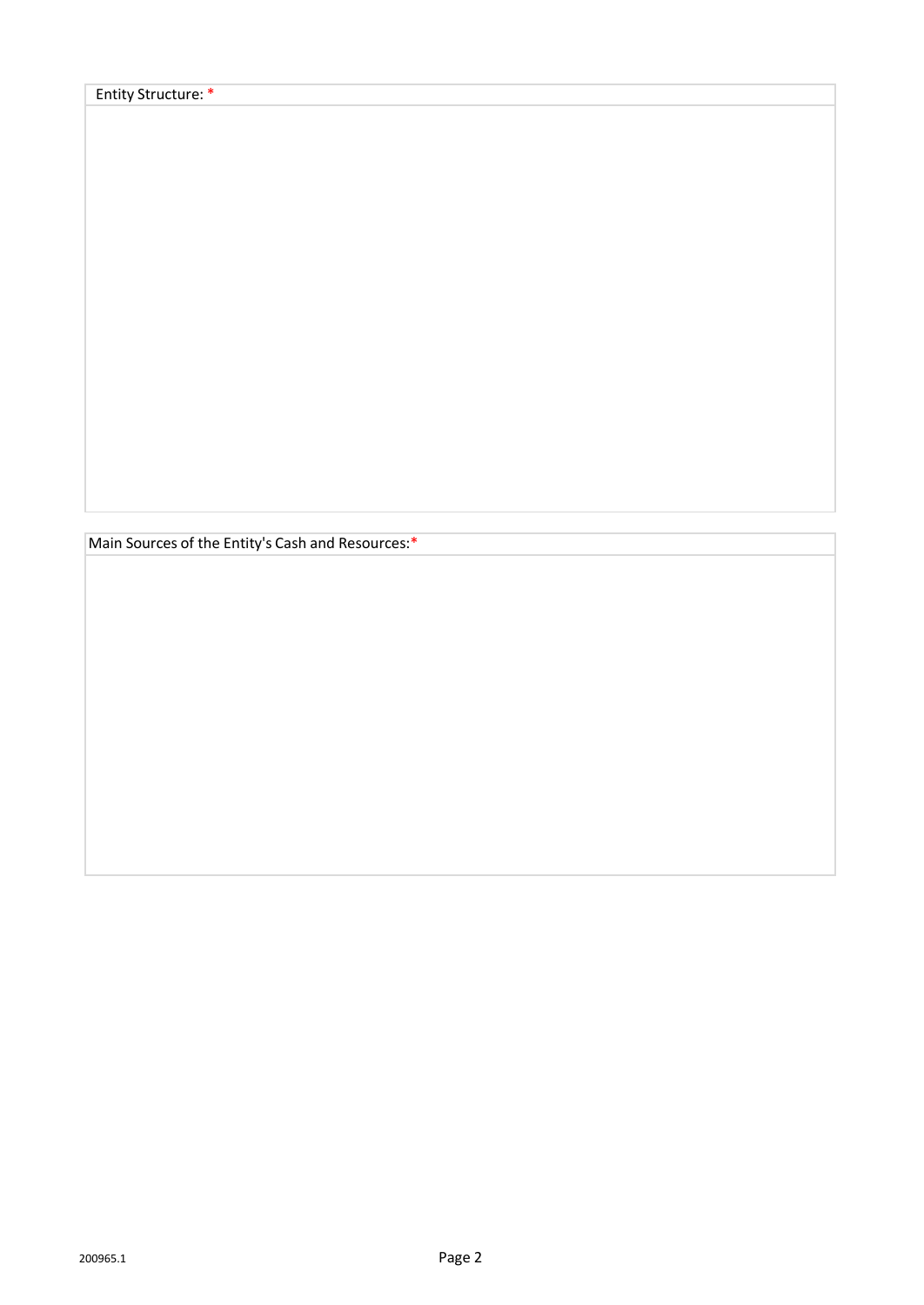Main Sources of the Entity's Cash and Resources:\*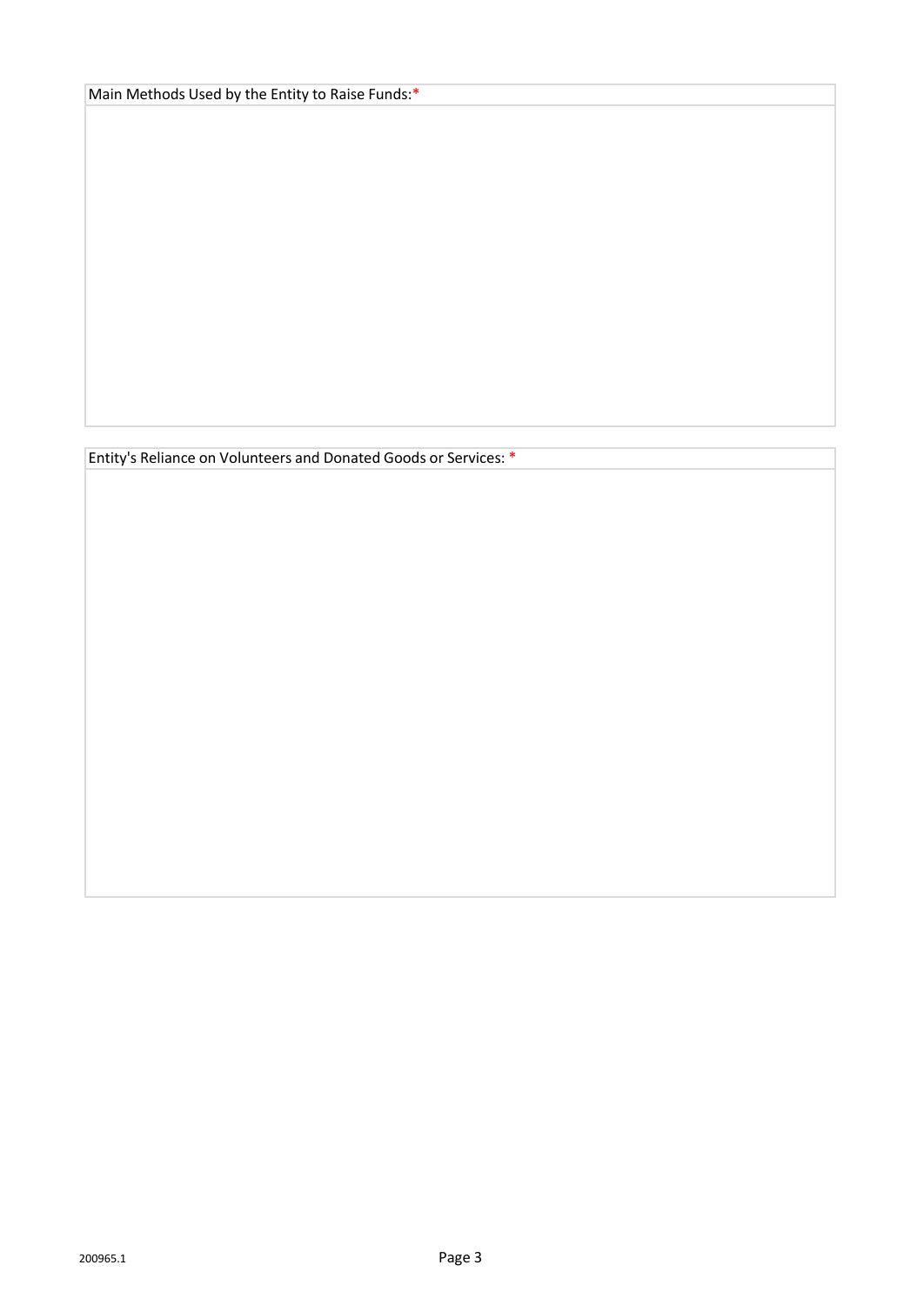Main Methods Used by the Entity to Raise Funds:\*

Entity's Reliance on Volunteers and Donated Goods or Services: \*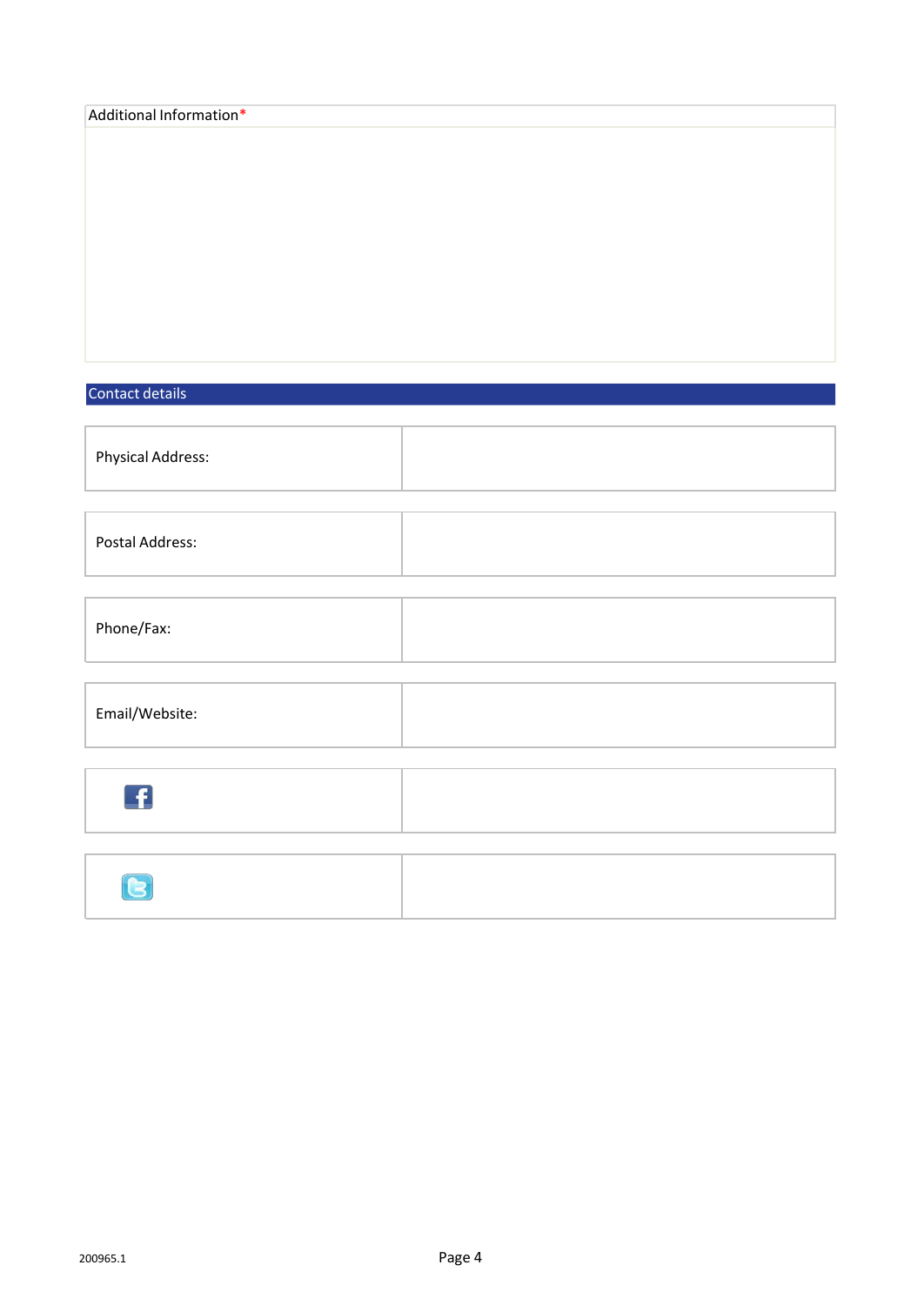| Additional Information*    |  |
|----------------------------|--|
|                            |  |
|                            |  |
|                            |  |
|                            |  |
|                            |  |
|                            |  |
|                            |  |
|                            |  |
|                            |  |
|                            |  |
| Contact details            |  |
|                            |  |
| Physical Address:          |  |
|                            |  |
|                            |  |
| Postal Address:            |  |
|                            |  |
|                            |  |
|                            |  |
| Phone/Fax:                 |  |
|                            |  |
|                            |  |
| Email/Website:             |  |
|                            |  |
|                            |  |
| £                          |  |
|                            |  |
|                            |  |
|                            |  |
| $\left( \mathbf{E}\right)$ |  |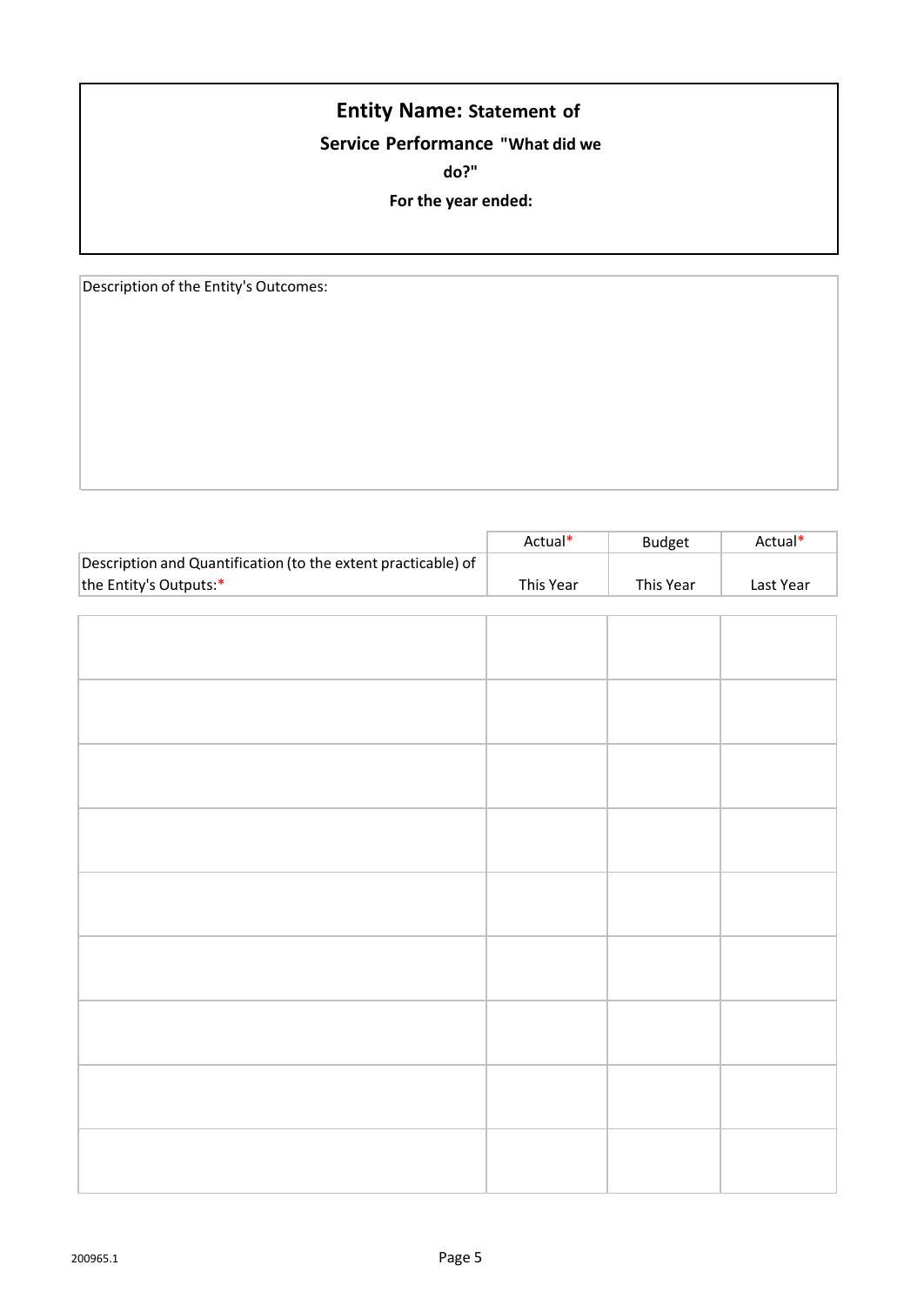# **Entity Name: Statement of**

# **Service Performance "What did we**

**do?"**

#### **For the year ended:**

Description of the Entity's Outcomes:

|                                                               | Actual*   | <b>Budget</b> | Actual*   |
|---------------------------------------------------------------|-----------|---------------|-----------|
| Description and Quantification (to the extent practicable) of |           |               |           |
| the Entity's Outputs:*                                        | This Year | This Year     | Last Year |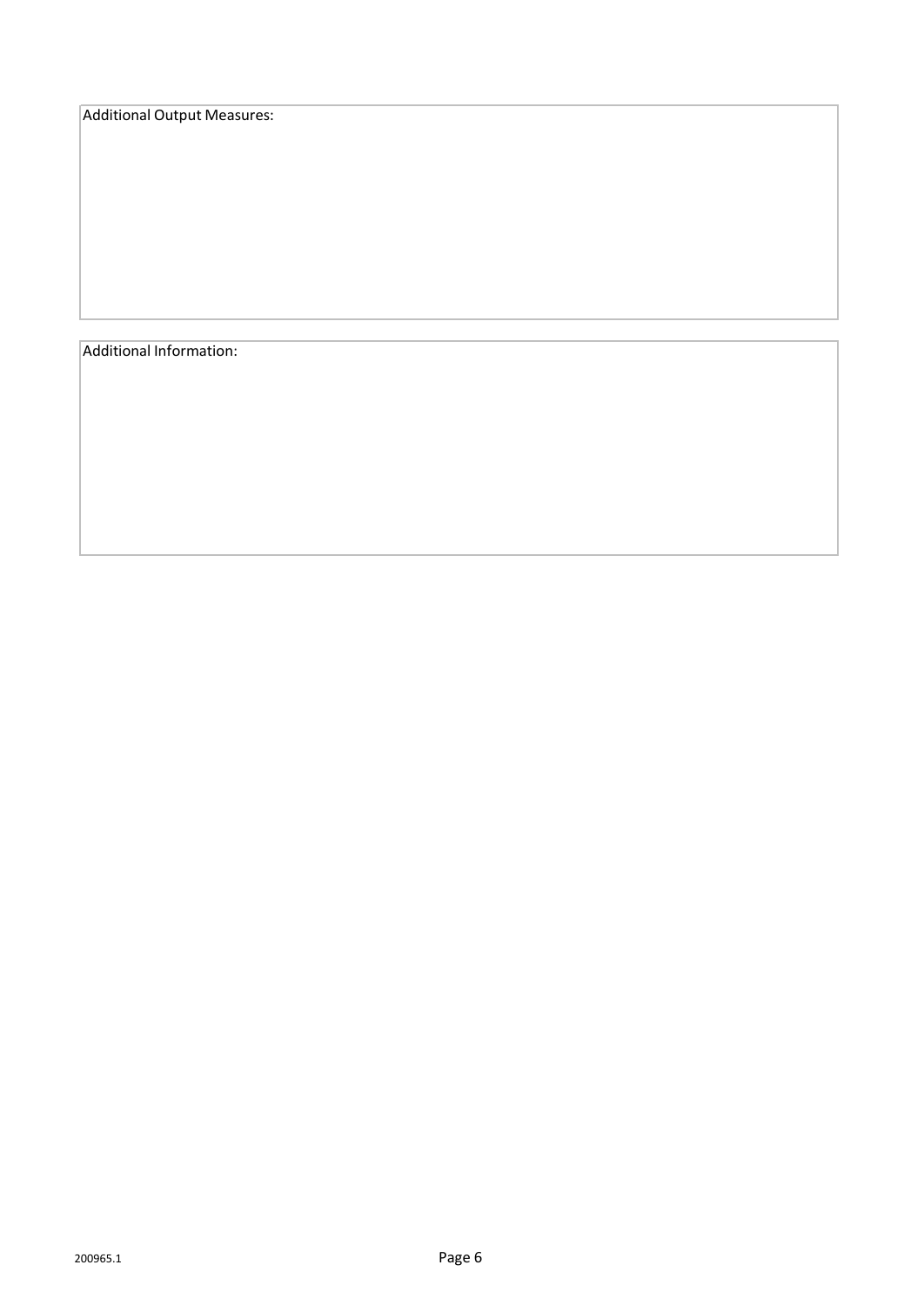Additional Output Measures:

Additional Information: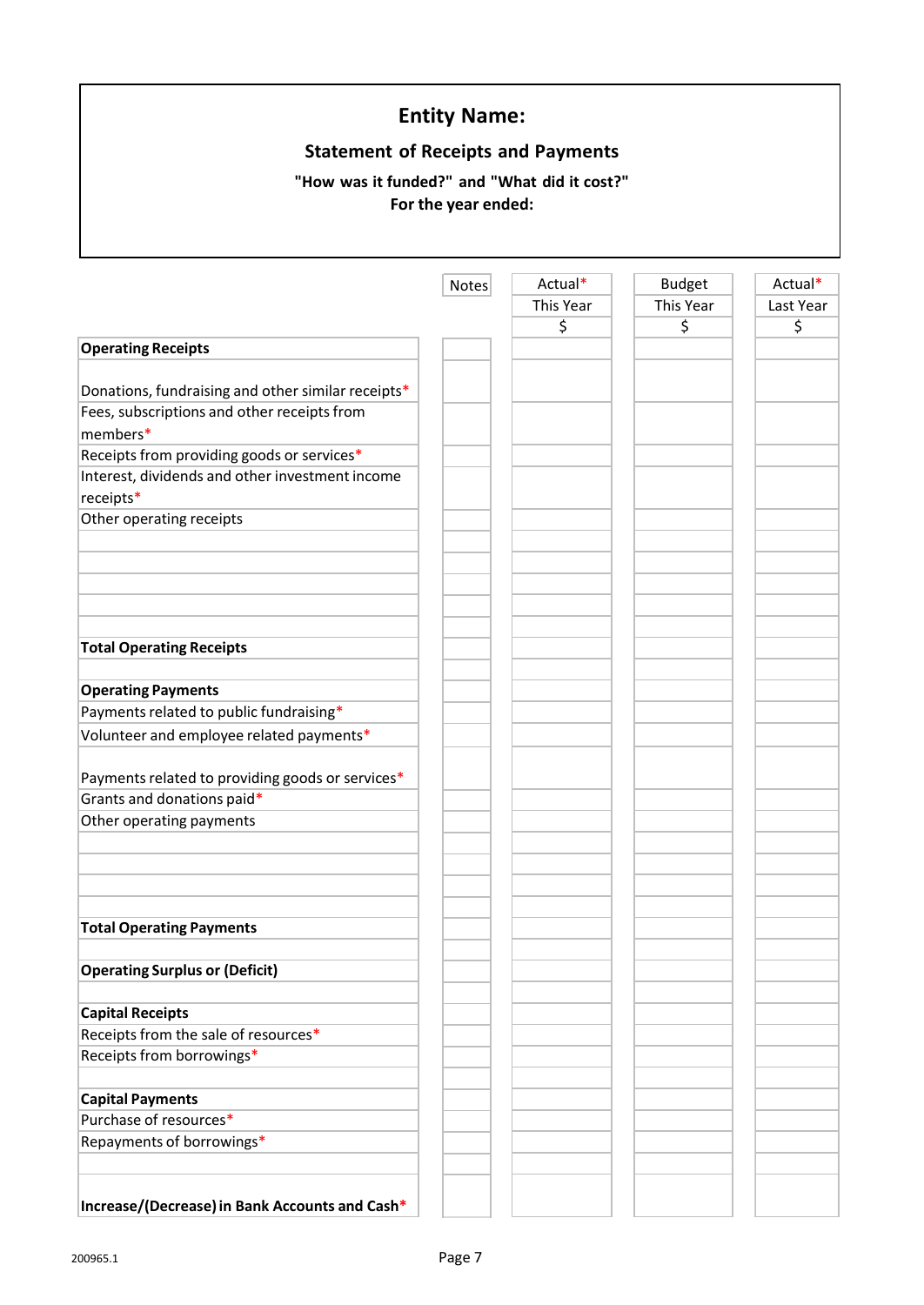# **Statement of Receipts and Payments**

## **"How was it funded?" and "What did it cost?" For the year ended:**

|                                                    | <b>Notes</b> | Actual*   | <b>Budget</b> | Actual*   |
|----------------------------------------------------|--------------|-----------|---------------|-----------|
|                                                    |              | This Year | This Year     | Last Year |
|                                                    |              | \$        | \$            | \$        |
| <b>Operating Receipts</b>                          |              |           |               |           |
|                                                    |              |           |               |           |
| Donations, fundraising and other similar receipts* |              |           |               |           |
| Fees, subscriptions and other receipts from        |              |           |               |           |
| members*                                           |              |           |               |           |
| Receipts from providing goods or services*         |              |           |               |           |
| Interest, dividends and other investment income    |              |           |               |           |
| receipts*                                          |              |           |               |           |
| Other operating receipts                           |              |           |               |           |
|                                                    |              |           |               |           |
|                                                    |              |           |               |           |
|                                                    |              |           |               |           |
|                                                    |              |           |               |           |
|                                                    |              |           |               |           |
| <b>Total Operating Receipts</b>                    |              |           |               |           |
|                                                    |              |           |               |           |
| <b>Operating Payments</b>                          |              |           |               |           |
| Payments related to public fundraising*            |              |           |               |           |
| Volunteer and employee related payments*           |              |           |               |           |
|                                                    |              |           |               |           |
| Payments related to providing goods or services*   |              |           |               |           |
| Grants and donations paid*                         |              |           |               |           |
| Other operating payments                           |              |           |               |           |
|                                                    |              |           |               |           |
|                                                    |              |           |               |           |
|                                                    |              |           |               |           |
|                                                    |              |           |               |           |
| <b>Total Operating Payments</b>                    |              |           |               |           |
|                                                    |              |           |               |           |
| <b>Operating Surplus or (Deficit)</b>              |              |           |               |           |
| <b>Capital Receipts</b>                            |              |           |               |           |
| Receipts from the sale of resources*               |              |           |               |           |
| Receipts from borrowings*                          |              |           |               |           |
|                                                    |              |           |               |           |
| <b>Capital Payments</b>                            |              |           |               |           |
| Purchase of resources*                             |              |           |               |           |
| Repayments of borrowings*                          |              |           |               |           |
|                                                    |              |           |               |           |
|                                                    |              |           |               |           |
| Increase/(Decrease) in Bank Accounts and Cash*     |              |           |               |           |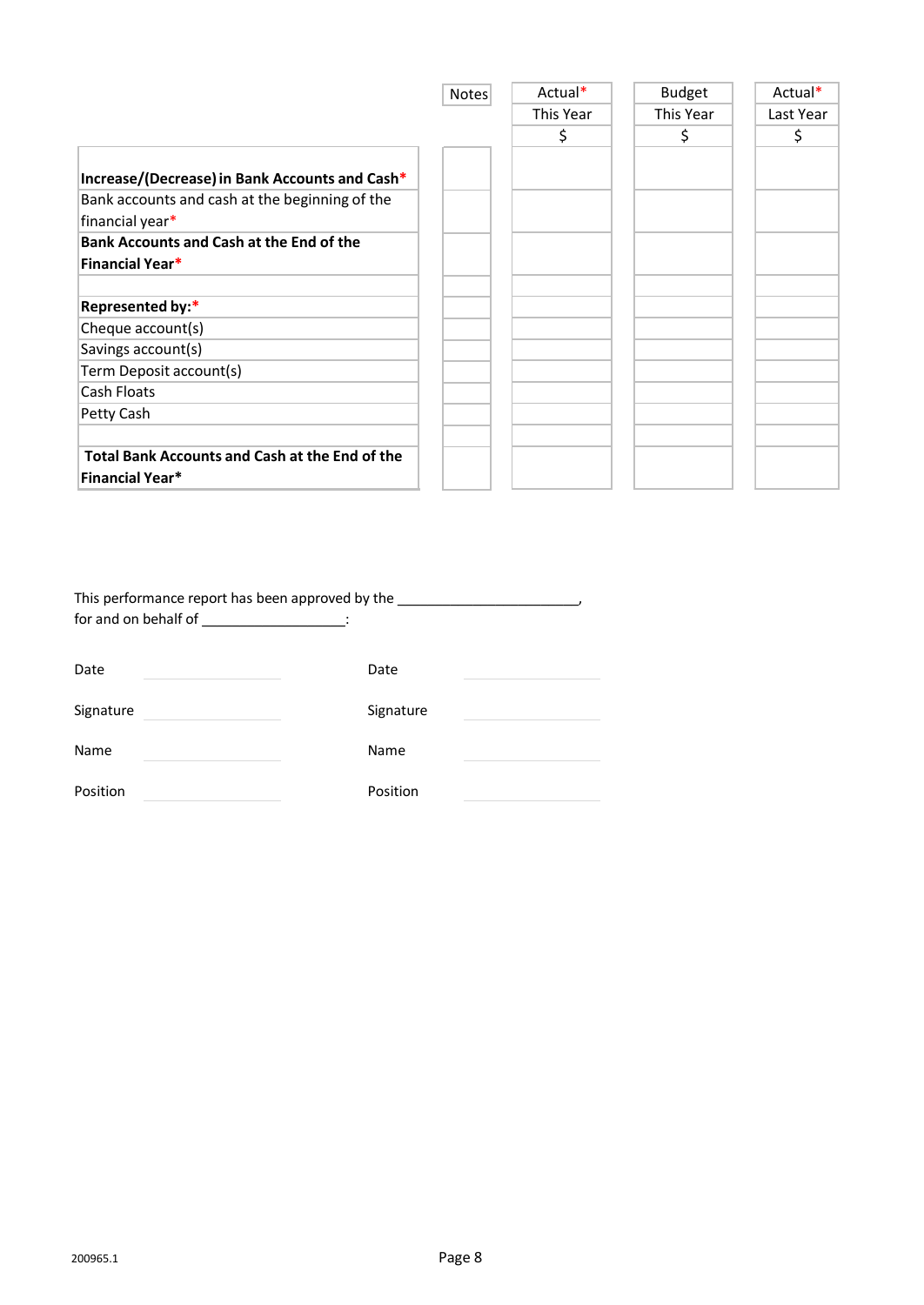|                                                 | <b>Notes</b> | Actual*   | <b>Budget</b> | Actual*   |
|-------------------------------------------------|--------------|-----------|---------------|-----------|
|                                                 |              | This Year | This Year     | Last Year |
|                                                 |              | \$        | \$            | \$        |
|                                                 |              |           |               |           |
| Increase/(Decrease) in Bank Accounts and Cash*  |              |           |               |           |
| Bank accounts and cash at the beginning of the  |              |           |               |           |
| financial year*                                 |              |           |               |           |
| <b>Bank Accounts and Cash at the End of the</b> |              |           |               |           |
| <b>Financial Year*</b>                          |              |           |               |           |
|                                                 |              |           |               |           |
| Represented by:*                                |              |           |               |           |
| Cheque account(s)                               |              |           |               |           |
| Savings account(s)                              |              |           |               |           |
| Term Deposit account(s)                         |              |           |               |           |
| Cash Floats                                     |              |           |               |           |
| Petty Cash                                      |              |           |               |           |
|                                                 |              |           |               |           |
| Total Bank Accounts and Cash at the End of the  |              |           |               |           |
| <b>Financial Year*</b>                          |              |           |               |           |

| This performance report has been approved by the<br>for and on behalf of the state of the state of the state of the state of the state of the state of the state of the state of the state of the state of the state of the state of the state of the state of the state of the st |           |
|------------------------------------------------------------------------------------------------------------------------------------------------------------------------------------------------------------------------------------------------------------------------------------|-----------|
| Date                                                                                                                                                                                                                                                                               | Date      |
| Signature                                                                                                                                                                                                                                                                          | Signature |
| Name                                                                                                                                                                                                                                                                               | Name      |

Position **Position**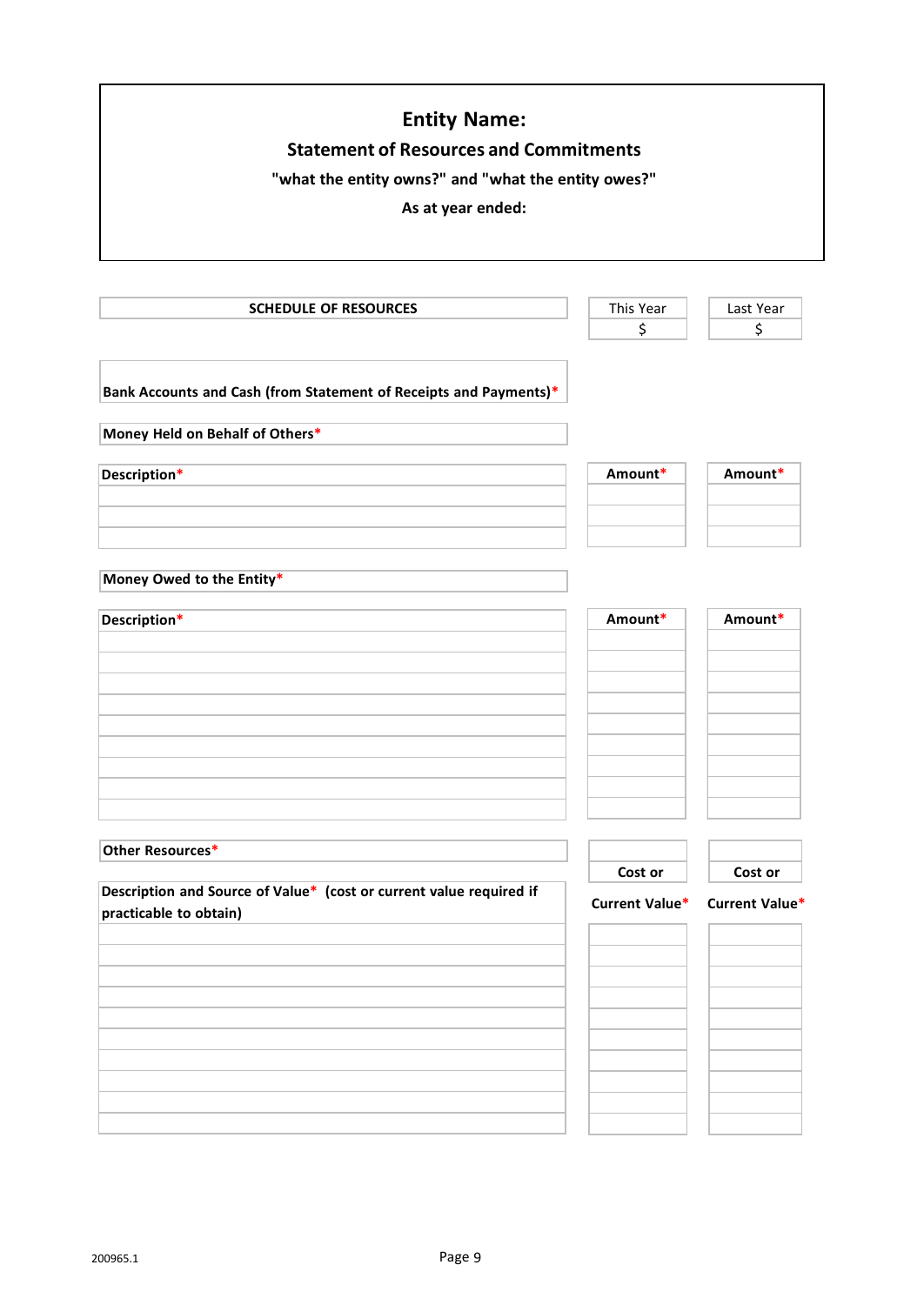| <b>Entity Name:</b><br><b>Statement of Resources and Commitments</b><br>"what the entity owns?" and "what the entity owes?"<br>As at year ended: |                |                |  |
|--------------------------------------------------------------------------------------------------------------------------------------------------|----------------|----------------|--|
| <b>SCHEDULE OF RESOURCES</b>                                                                                                                     | This Year      | Last Year      |  |
|                                                                                                                                                  | \$             | \$             |  |
| Bank Accounts and Cash (from Statement of Receipts and Payments)*<br>Money Held on Behalf of Others*                                             |                |                |  |
| Description*                                                                                                                                     | Amount*        | Amount*        |  |
|                                                                                                                                                  |                |                |  |
|                                                                                                                                                  |                |                |  |
|                                                                                                                                                  |                |                |  |
| Money Owed to the Entity*                                                                                                                        |                |                |  |
| Description*                                                                                                                                     | Amount*        | Amount*        |  |
| Other Resources*                                                                                                                                 | Cost or        | Cost or        |  |
| Description and Source of Value* (cost or current value required if<br>practicable to obtain)                                                    | Current Value* | Current Value* |  |
|                                                                                                                                                  |                |                |  |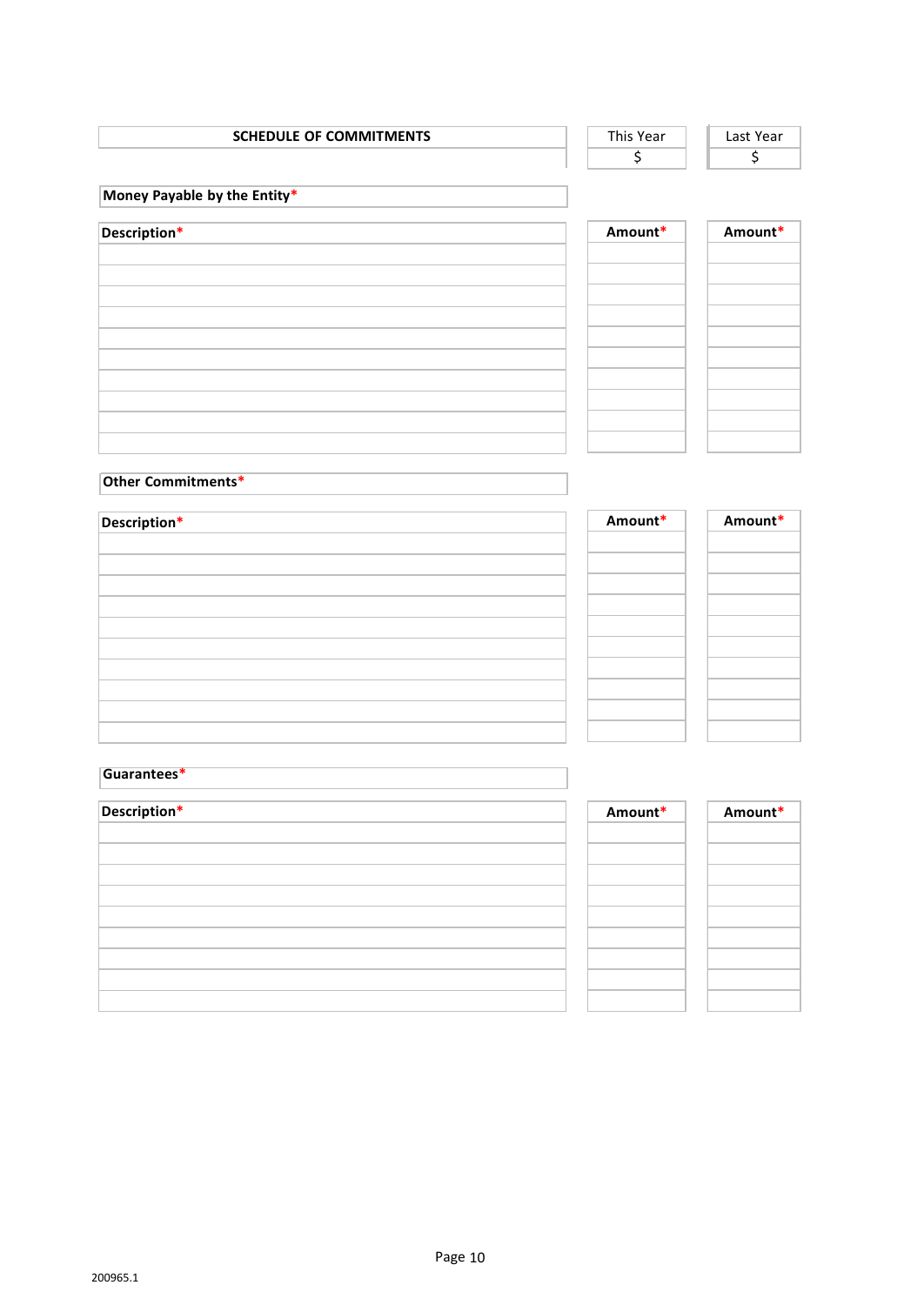| <b>SCHEDULE OF COMMITMENTS</b> |  |  |
|--------------------------------|--|--|
|                                |  |  |

| Year | Last Year |
|------|-----------|
|      |           |

**Money Payable by the Entity\***

| Description* | Amount* |
|--------------|---------|
|              |         |
|              |         |
|              |         |
|              |         |
|              |         |
|              |         |
|              |         |

| Amount* | Amount* |
|---------|---------|
|         |         |
|         |         |
|         |         |
|         |         |
|         |         |
|         |         |
|         |         |
|         |         |
|         |         |
|         |         |
|         |         |

#### **Other Commitments\***

| Description* |  |  |
|--------------|--|--|
|              |  |  |
|              |  |  |
|              |  |  |
|              |  |  |
|              |  |  |
|              |  |  |
|              |  |  |
|              |  |  |
|              |  |  |
|              |  |  |

| Amount* | Amount* |
|---------|---------|
|         |         |
|         |         |
|         |         |
|         |         |
|         |         |
|         |         |
|         |         |
|         |         |
|         |         |
|         |         |

#### **Guarantees\***

| Description* |  |  |  |
|--------------|--|--|--|
|              |  |  |  |
|              |  |  |  |
|              |  |  |  |
|              |  |  |  |
|              |  |  |  |
|              |  |  |  |
|              |  |  |  |
|              |  |  |  |
|              |  |  |  |

| Amount* | Amount* |
|---------|---------|
|         |         |
|         |         |
|         |         |
|         |         |
|         |         |
|         |         |
|         |         |
|         |         |
|         |         |
|         |         |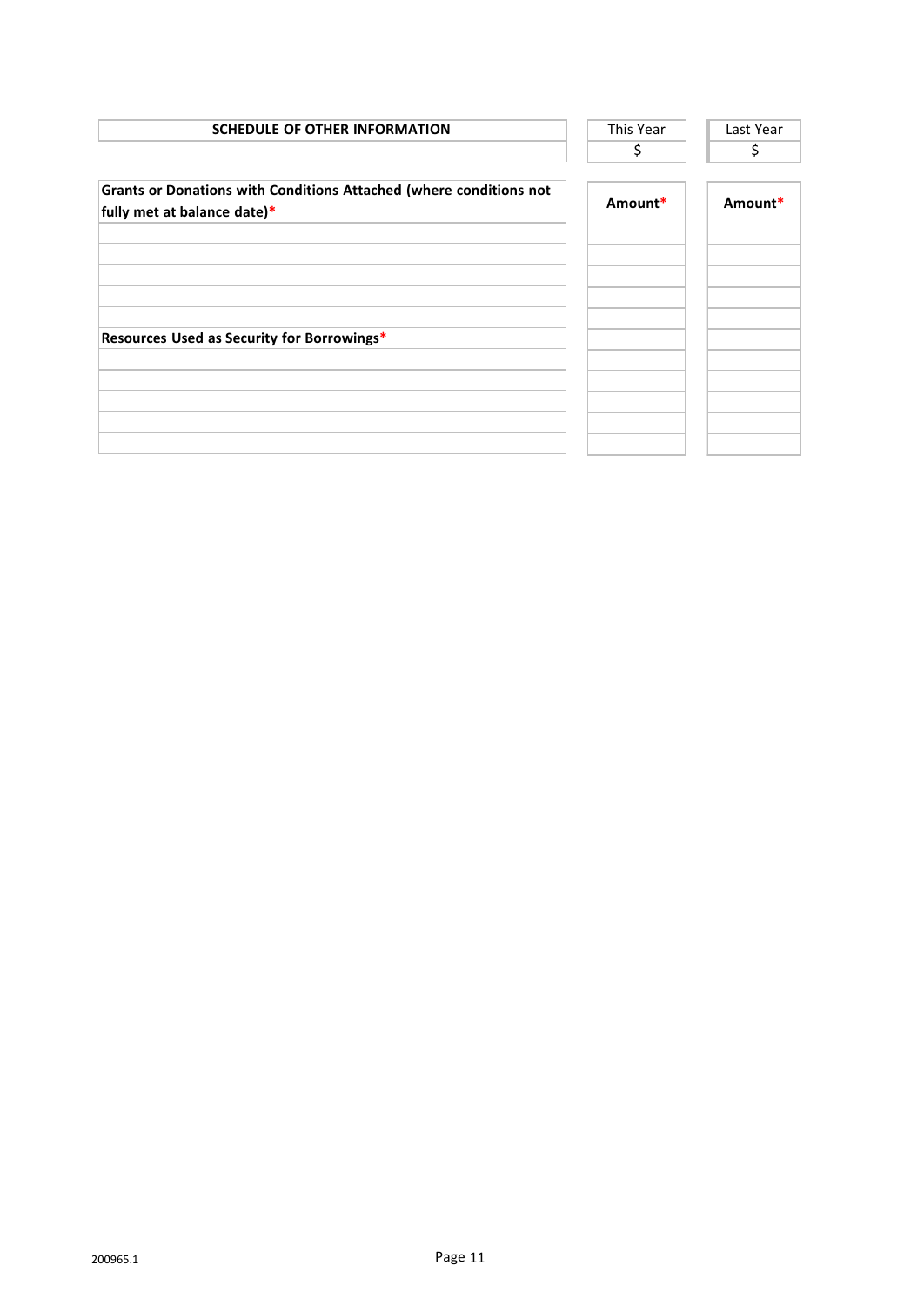| This Year | Last Year |
|-----------|-----------|
| \$        | \$        |
| Amount*   | Amount*   |
|           |           |
|           |           |
|           |           |
|           |           |
|           |           |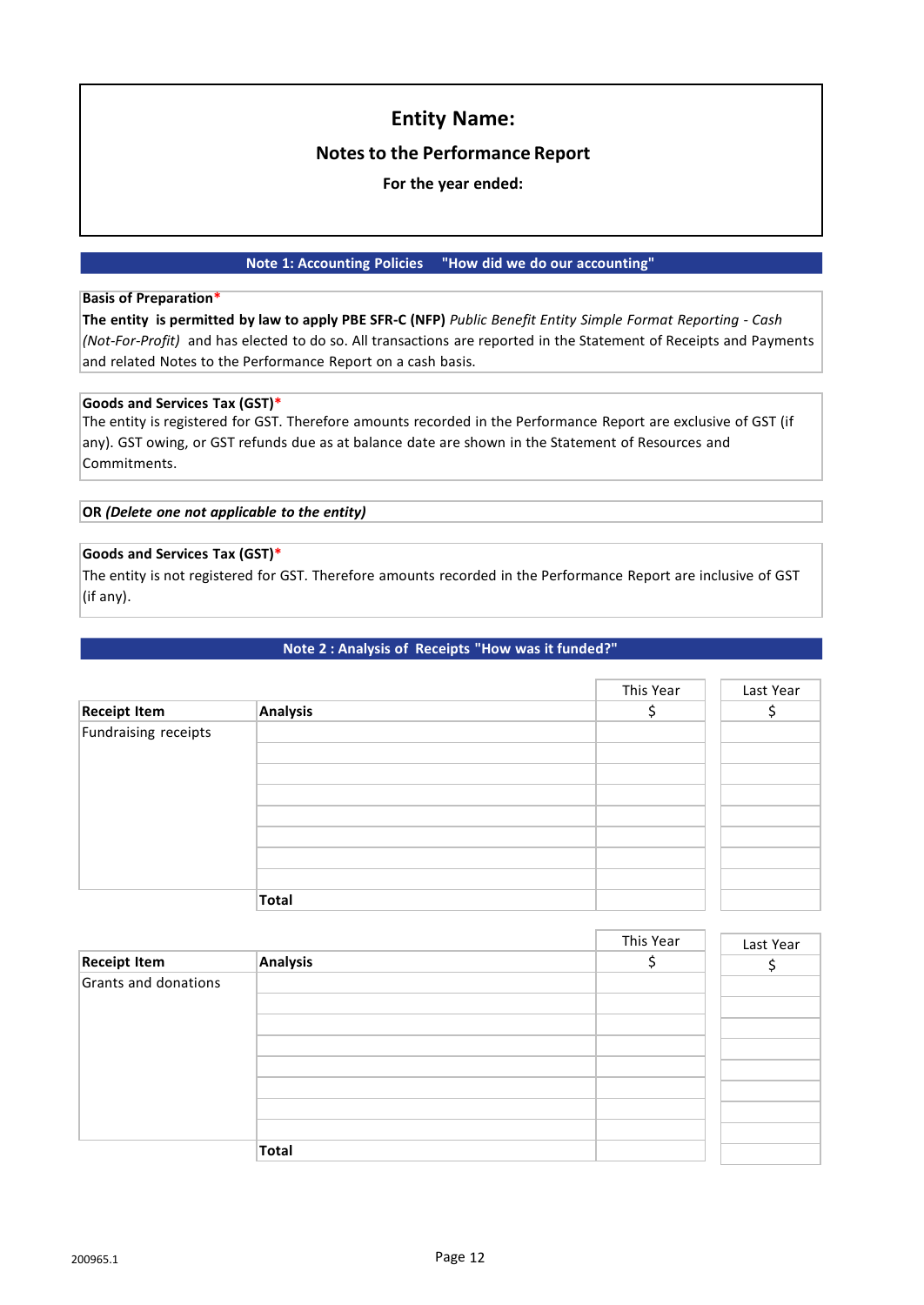#### **Notes to the Performance Report**

**For the year ended:**

#### **Note 1: Accounting Policies "How did we do our accounting"**

#### **Basis of Preparation\***

The entity is permitted by law to apply PBE SFR-C (NFP) Public Benefit Entity Simple Format Reporting - Cash *(Not-For-Profit)* and has elected to do so. All transactions are reported in the Statement of Receipts and Payments and related Notes to the Performance Report on a cash basis.

#### **Goods and Services Tax (GST)\***

The entity is registered for GST. Therefore amounts recorded in the Performance Report are exclusive of GST (if any). GST owing, or GST refunds due as at balance date are shown in the Statement of Resources and Commitments.

**OR** *(Delete one not applicable to the entity)*

#### **Goods and Services Tax (GST)\***

The entity is not registered for GST. Therefore amounts recorded in the Performance Report are inclusive of GST (if any).

**Note 2 : Analysis of Receipts "How was it funded?"**

|                      |                 | This Year | Last Year |
|----------------------|-----------------|-----------|-----------|
| <b>Receipt Item</b>  | <b>Analysis</b> |           |           |
| Fundraising receipts |                 |           |           |
|                      |                 |           |           |
|                      |                 |           |           |
|                      |                 |           |           |
|                      |                 |           |           |
|                      |                 |           |           |
|                      |                 |           |           |
|                      |                 |           |           |
|                      | <b>Total</b>    |           |           |

|                      |          | This Year | Last Year |
|----------------------|----------|-----------|-----------|
| <b>Receipt Item</b>  | Analysis |           |           |
| Grants and donations |          |           |           |
|                      |          |           |           |
|                      |          |           |           |
|                      |          |           |           |
|                      |          |           |           |
|                      |          |           |           |
|                      |          |           |           |
|                      |          |           |           |
|                      | Total    |           |           |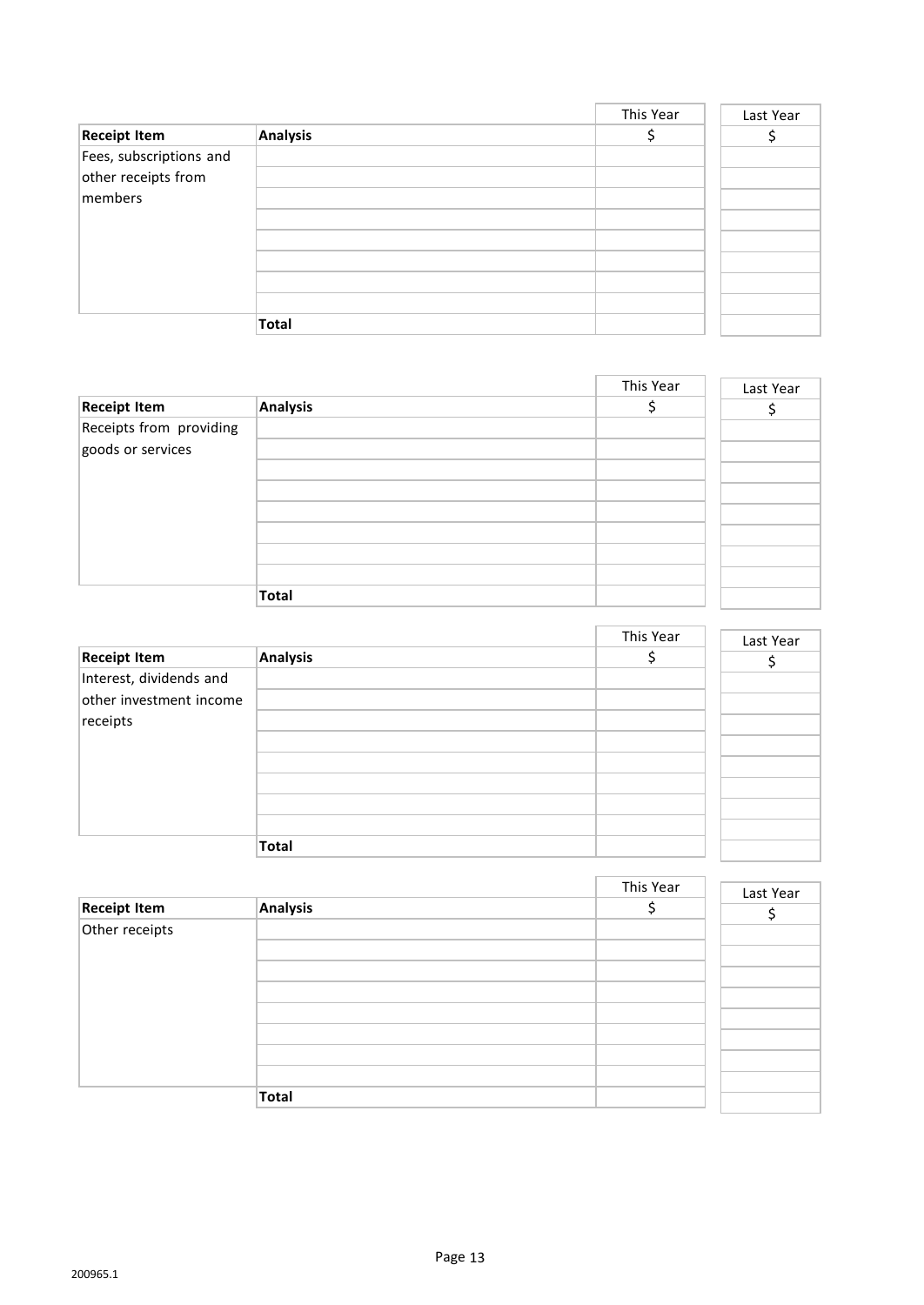|                         |              | This Year | Last Year |
|-------------------------|--------------|-----------|-----------|
| <b>Receipt Item</b>     | Analysis     |           |           |
| Fees, subscriptions and |              |           |           |
| other receipts from     |              |           |           |
| members                 |              |           |           |
|                         |              |           |           |
|                         |              |           |           |
|                         |              |           |           |
|                         |              |           |           |
|                         |              |           |           |
|                         | <b>Total</b> |           |           |

|                         |              | This Year | Last Year |
|-------------------------|--------------|-----------|-----------|
| <b>Receipt Item</b>     | Analysis     |           |           |
| Receipts from providing |              |           |           |
| goods or services       |              |           |           |
|                         |              |           |           |
|                         |              |           |           |
|                         |              |           |           |
|                         |              |           |           |
|                         |              |           |           |
|                         | <b>Total</b> |           |           |

|                         |              | This Year | Last Year |
|-------------------------|--------------|-----------|-----------|
| <b>Receipt Item</b>     | Analysis     |           |           |
| Interest, dividends and |              |           |           |
| other investment income |              |           |           |
| receipts                |              |           |           |
|                         |              |           |           |
|                         |              |           |           |
|                         |              |           |           |
|                         |              |           |           |
|                         |              |           |           |
|                         | <b>Total</b> |           |           |

|                     |              | This Year | Last Year |
|---------------------|--------------|-----------|-----------|
| <b>Receipt Item</b> | Analysis     |           |           |
| Other receipts      |              |           |           |
|                     |              |           |           |
|                     |              |           |           |
|                     |              |           |           |
|                     |              |           |           |
|                     |              |           |           |
|                     |              |           |           |
|                     |              |           |           |
|                     |              |           |           |
|                     | <b>Total</b> |           |           |

i,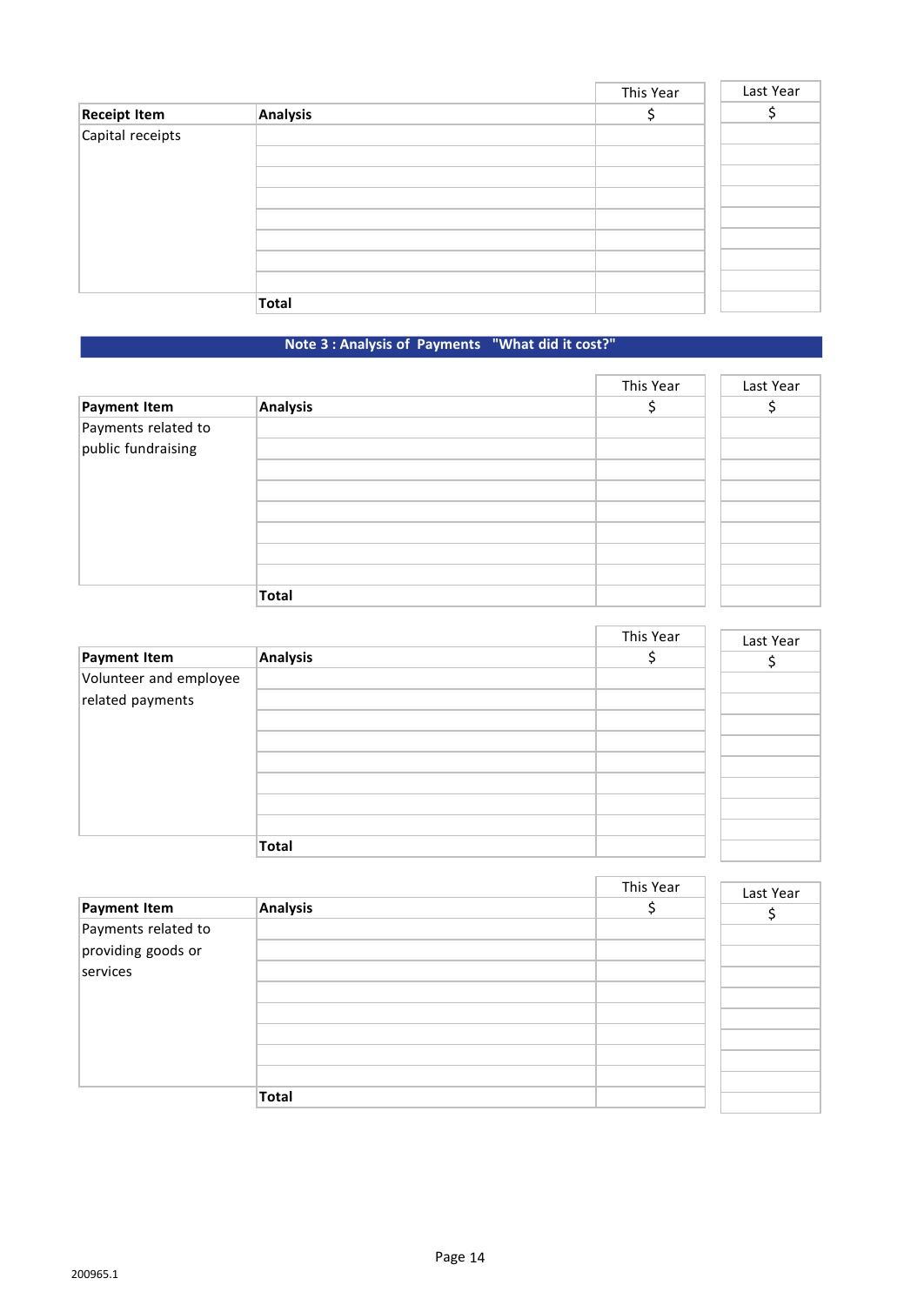|                     |              | This Year | Last Year |
|---------------------|--------------|-----------|-----------|
| <b>Receipt Item</b> | Analysis     |           |           |
| Capital receipts    |              |           |           |
|                     |              |           |           |
|                     |              |           |           |
|                     |              |           |           |
|                     |              |           |           |
|                     |              |           |           |
|                     |              |           |           |
|                     |              |           |           |
|                     | <b>Total</b> |           |           |

### **Note 3 : Analysis of Payments "What did it cost?"**

|                                           |                 | This Year | Last Year |
|-------------------------------------------|-----------------|-----------|-----------|
| Payment Item                              | <b>Analysis</b> |           |           |
| Payments related to<br>public fundraising |                 |           |           |
|                                           |                 |           |           |
|                                           |                 |           |           |
|                                           |                 |           |           |
|                                           |                 |           |           |
|                                           | <b>Total</b>    |           |           |

|                        |              | This Year | Last Year |
|------------------------|--------------|-----------|-----------|
| Payment Item           | Analysis     |           |           |
| Volunteer and employee |              |           |           |
| related payments       |              |           |           |
|                        |              |           |           |
|                        |              |           |           |
|                        |              |           |           |
|                        |              |           |           |
|                        |              |           |           |
|                        |              |           |           |
|                        | <b>Total</b> |           |           |

|                                |          | This Year | Last Year |
|--------------------------------|----------|-----------|-----------|
| Payment Item                   | Analysis |           |           |
| Payments related to            |          |           |           |
| providing goods or<br>services |          |           |           |
|                                |          |           |           |
|                                |          |           |           |
|                                |          |           |           |
|                                |          |           |           |
|                                |          |           |           |
|                                | Total    |           |           |

÷,

Î.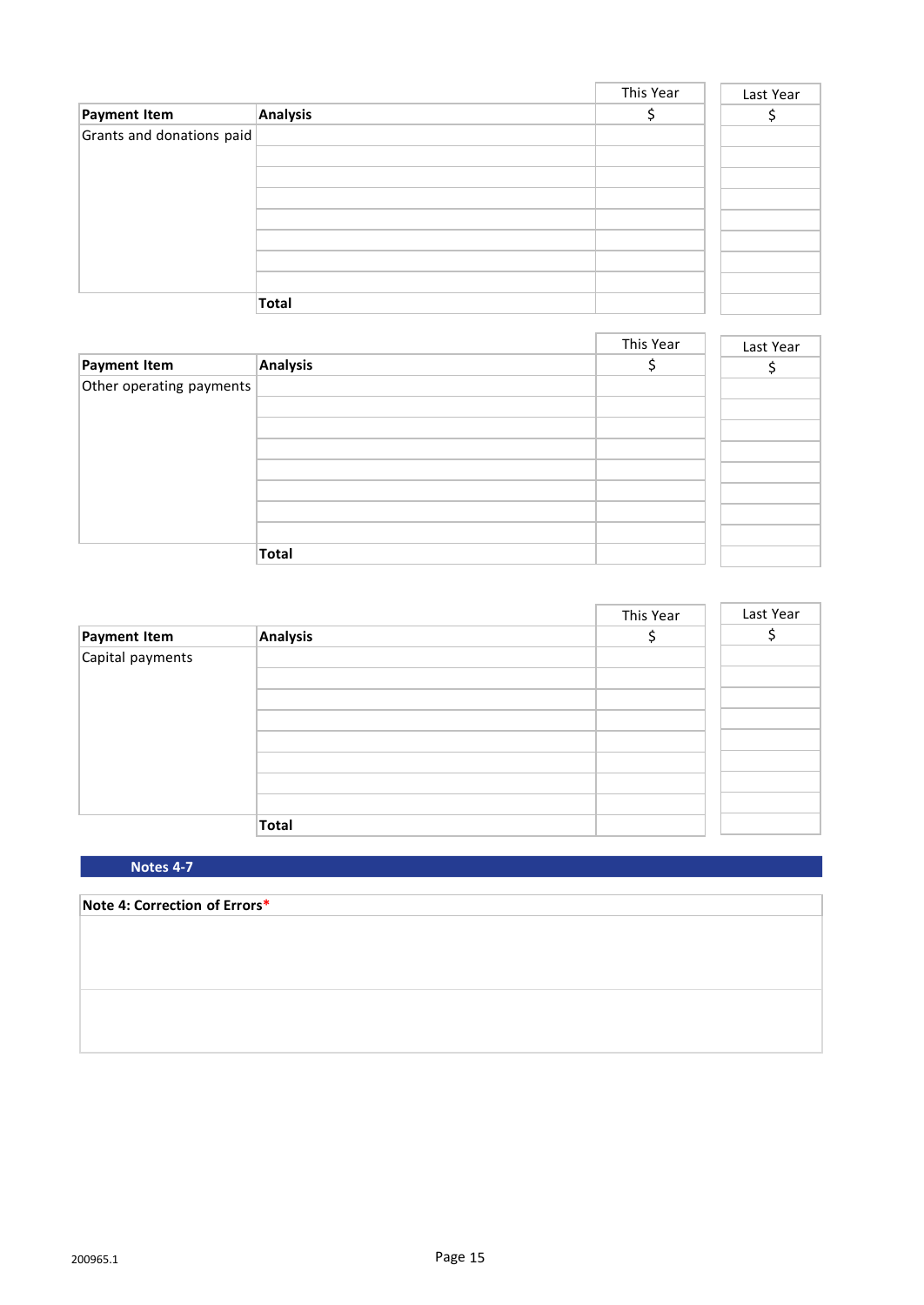|                           |              | This Year | Last Year |
|---------------------------|--------------|-----------|-----------|
| Payment Item              | Analysis     |           |           |
| Grants and donations paid |              |           |           |
|                           |              |           |           |
|                           |              |           |           |
|                           |              |           |           |
|                           |              |           |           |
|                           |              |           |           |
|                           |              |           |           |
|                           |              |           |           |
|                           | <b>Total</b> |           |           |

|                          |          | This Year | Last Year |
|--------------------------|----------|-----------|-----------|
| Payment Item             | Analysis |           |           |
| Other operating payments |          |           |           |
|                          |          |           |           |
|                          |          |           |           |
|                          |          |           |           |
|                          |          |           |           |
|                          |          |           |           |
|                          |          |           |           |
|                          |          |           |           |
|                          | Total    |           |           |

|                  |              | This Year | Last Year |
|------------------|--------------|-----------|-----------|
| Payment Item     | Analysis     |           |           |
| Capital payments |              |           |           |
|                  |              |           |           |
|                  |              |           |           |
|                  |              |           |           |
|                  |              |           |           |
|                  |              |           |           |
|                  |              |           |           |
|                  |              |           |           |
|                  | <b>Total</b> |           |           |

**Notes 4-7**

# **Note 4: Correction of Errors\***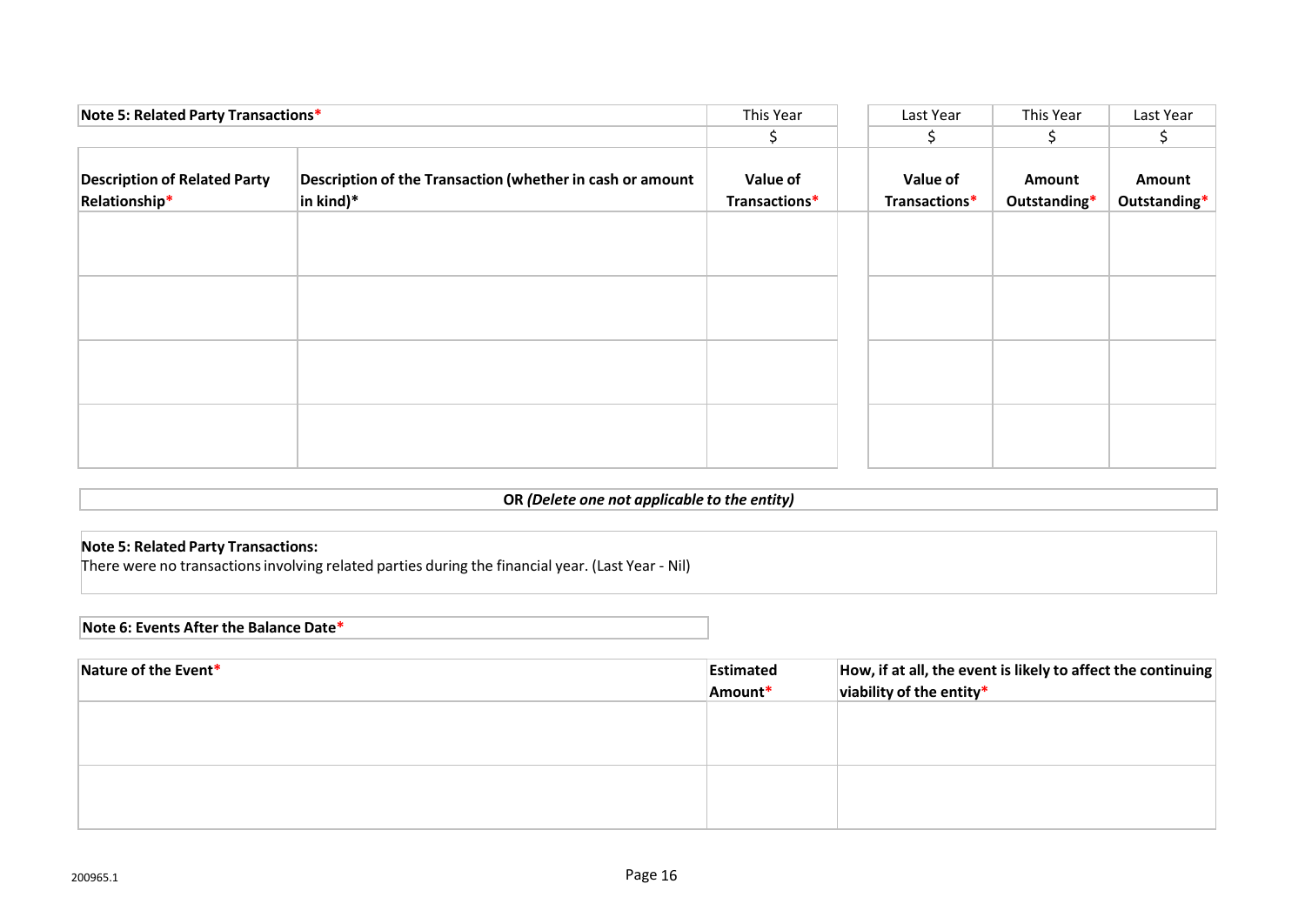| Note 5: Related Party Transactions*                  |                                                                                | This Year                 | Last Year                 | This Year              | Last Year              |
|------------------------------------------------------|--------------------------------------------------------------------------------|---------------------------|---------------------------|------------------------|------------------------|
|                                                      |                                                                                | S.                        | S                         | S.                     |                        |
| <b>Description of Related Party</b><br>Relationship* | Description of the Transaction (whether in cash or amount<br>$ $ in kind) $^*$ | Value of<br>Transactions* | Value of<br>Transactions* | Amount<br>Outstanding* | Amount<br>Outstanding* |
|                                                      |                                                                                |                           |                           |                        |                        |
|                                                      |                                                                                |                           |                           |                        |                        |
|                                                      |                                                                                |                           |                           |                        |                        |
|                                                      |                                                                                |                           |                           |                        |                        |
|                                                      |                                                                                |                           |                           |                        |                        |
|                                                      |                                                                                |                           |                           |                        |                        |

#### **OR** *(Delete one not applicable to the entity)*

#### **Note 5: Related Party Transactions:**

There were no transactionsinvolving related parties during the financial year. (Last Year - Nil)

#### **Note 6: Events After the Balance Date\***

| Nature of the Event* | Estimated | How, if at all, the event is likely to affect the continuing |
|----------------------|-----------|--------------------------------------------------------------|
|                      | Amount*   | viability of the entity*                                     |
|                      |           |                                                              |
|                      |           |                                                              |
|                      |           |                                                              |
|                      |           |                                                              |
|                      |           |                                                              |
|                      |           |                                                              |